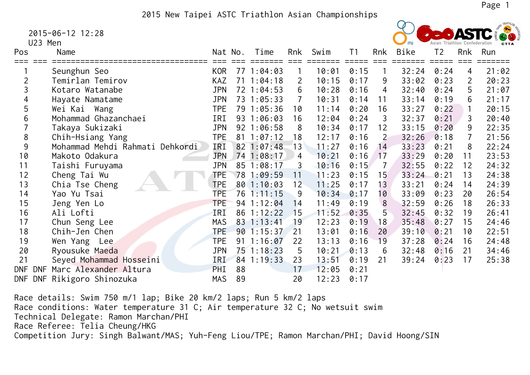2015 New Taipei ASTC Triathlon Asian Championships

2015-06-12 12:28

| U23 Men |
|---------|
|---------|



| Pos        | Name                                |            | Nat No. | Time            | Rnk            | Swim  | T1   | Rnk            | Bike  | T <sub>2</sub> | Rnk          | Run   |
|------------|-------------------------------------|------------|---------|-----------------|----------------|-------|------|----------------|-------|----------------|--------------|-------|
|            | Seunghun Seo                        | <b>KOR</b> |         | 77 1:04:03      |                | 10:01 | 0:15 |                | 32:24 | 0:24           | 4            | 21:02 |
|            | Temirlan Temirov                    | <b>KAZ</b> |         | $71 \t1:04:18$  | 2              | 10:15 | 0:17 | 9              | 33:02 | 0:23           | 2            | 20:23 |
|            | Kotaro Watanabe                     | <b>JPN</b> |         | 72 1:04:53      | 6              | 10:28 | 0:16 | 4              | 32:40 | 0:24           | 5            | 21:07 |
|            | Hayate Namatame                     | JPN        |         | 73 1:05:33      |                | 10:31 | 0:14 | 11             | 33:14 | 0:19           | 6            | 21:17 |
| 5          | Wei Kai Wang                        | <b>TPE</b> |         | 79 1:05:36      | 10             | 11:14 | 0:20 | 16             | 33:27 | 0:22           | $\mathbf{1}$ | 20:15 |
| 6          | Mohammad Ghazanchaei                | IRI        |         | 93 1:06:03      | 16             | 12:04 | 0:24 | 3              | 32:37 | 0:21           | 3            | 20:40 |
|            | Takaya Sukizaki                     | <b>JPN</b> |         | 92 1:06:58      | 8              | 10:34 | 0:17 | 12             | 33:15 | 0:20           | 9            | 22:35 |
| 8          | Chih-Hsiang Yang                    | <b>TPE</b> |         | $81 \t1:07:12$  | 18             | 12:17 | 0:16 | $\overline{2}$ | 32:26 | 0:18           | 7            | 21:56 |
| 9          | Mohammad Mehdi Rahmati Dehkordi     | IRI        |         | $82 \t1:07:48$  | 13             | 11:27 | 0:16 | 14             | 33:23 | 0:21           | 8            | 22:24 |
| 10         | Makoto Odakura                      | <b>JPN</b> |         | 74 1:08:17      | $\overline{4}$ | 10:21 | 0:16 | 17             | 33:29 | 0:20           | 11           | 23:53 |
| 11         | Taishi Furuyama                     | JPN        |         | 85 1:08:17      | 3              | 10:16 | 0:15 | 7              | 32:55 | 0:22           | 12           | 24:32 |
| 12         | Cheng Tai Wu                        | <b>TPE</b> |         | 78 1:09:59      | 11             | 11:23 | 0:15 | 15             | 33:24 | 0:21           | 13           | 24:38 |
| 13         | Chia Tse Cheng                      | <b>TPE</b> |         | 801:10:03       | 12             | 11:25 | 0:17 | 13             | 33:21 | 0:24           | 14           | 24:39 |
| 14         | Yao Yu Tsai                         | <b>TPE</b> |         | $76 \t1:11:15$  | 9              | 10:34 | 0:17 | 10             | 33:09 | 0:23           | 20           | 26:54 |
| 15         | Jeng Yen Lo                         | <b>TPE</b> |         | $94 \; 1:12:04$ | 14             | 11:49 | 0:19 | 8              | 32:59 | 0:26           | 18           | 26:33 |
| 16         | Ali Lofti                           | IRI        |         | 86 1:12:22      | 15             | 11:52 | 0:35 | $5^{\circ}$    | 32:45 | 0:32           | 19           | 26:41 |
| 17         | Chun Seng Lee                       | <b>MAS</b> |         | 83 1:13:41      | 19             | 12:23 | 0:19 | 18             | 35:48 | 0:27           | 15           | 24:46 |
| 18         | Chih-Jen Chen                       | <b>TPE</b> |         | 901:15:37       | 21             | 13:01 | 0:16 | 20             | 39:10 | 0:21           | 10           | 22:51 |
| 19         | Wen Yang Lee                        | TPE        |         | $91 \t1:16:07$  | 22             | 13:13 | 0:16 | 19             | 37:28 | 0:24           | 16           | 24:48 |
| 20         | Ryousuke Maeda                      | <b>JPN</b> |         | 75 1:18:23      | 5              | 10:21 | 0:13 | 6              | 32:48 | 0:16           | 21           | 34:46 |
| 21         | Seyed Mohammad Hosseini             | IRI        |         | 84 1:19:33      | 23             | 13:51 | 0:19 | 21             | 39:24 | 0:23           | 17           | 25:38 |
| <b>DNF</b> | Marc Alexander Altura<br><b>DNF</b> | PHI        | 88      |                 | 17             | 12:05 | 0:21 |                |       |                |              |       |
|            | DNF DNF Rikigoro Shinozuka          | <b>MAS</b> | 89      |                 | 20             | 12:23 | 0:17 |                |       |                |              |       |

 Race details: Swim 750 m/1 lap; Bike 20 km/2 laps; Run 5 km/2 laps Race conditions: Water temperature 31 C; Air temperature 32 C; No wetsuit swim Technical Delegate: Ramon Marchan/PHI Race Referee: Telia Cheung/HKG Competition Jury: Singh Balwant/MAS; Yuh-Feng Liou/TPE; Ramon Marchan/PHI; David Hoong/SIN